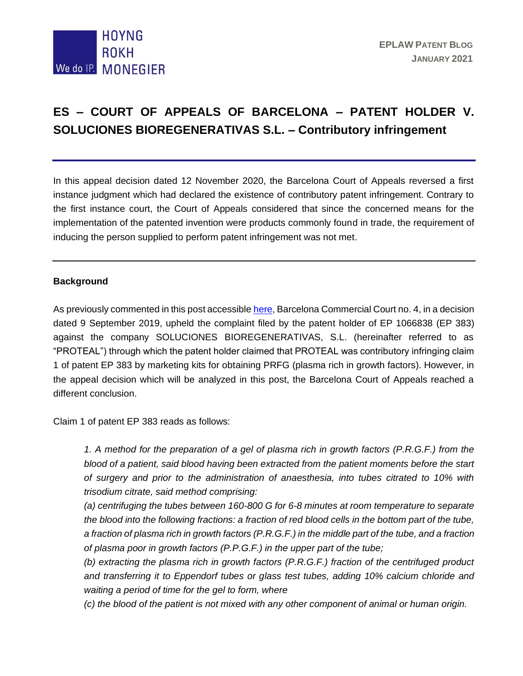

# **ES – COURT OF APPEALS OF BARCELONA – PATENT HOLDER V. SOLUCIONES BIOREGENERATIVAS S.L. – Contributory infringement**

In this appeal decision dated 12 November 2020, the Barcelona Court of Appeals reversed a first instance judgment which had declared the existence of contributory patent infringement. Contrary to the first instance court, the Court of Appeals considered that since the concerned means for the implementation of the patented invention were products commonly found in trade, the requirement of inducing the person supplied to perform patent infringement was not met.

#### **Background**

As previously commented in this post accessibl[e here,](http://eplaw.org/es-patent-holder-v-soluciones-bioregenerativas/) Barcelona Commercial Court no. 4, in a decision dated 9 September 2019, upheld the complaint filed by the patent holder of EP 1066838 (EP 383) against the company SOLUCIONES BIOREGENERATIVAS, S.L. (hereinafter referred to as "PROTEAL") through which the patent holder claimed that PROTEAL was contributory infringing claim 1 of patent EP 383 by marketing kits for obtaining PRFG (plasma rich in growth factors). However, in the appeal decision which will be analyzed in this post, the Barcelona Court of Appeals reached a different conclusion.

Claim 1 of patent EP 383 reads as follows:

*1. A method for the preparation of a gel of plasma rich in growth factors (P.R.G.F.) from the blood of a patient, said blood having been extracted from the patient moments before the start of surgery and prior to the administration of anaesthesia, into tubes citrated to 10% with trisodium citrate, said method comprising:* 

*(a) centrifuging the tubes between 160-800 G for 6-8 minutes at room temperature to separate the blood into the following fractions: a fraction of red blood cells in the bottom part of the tube, a fraction of plasma rich in growth factors (P.R.G.F.) in the middle part of the tube, and a fraction of plasma poor in growth factors (P.P.G.F.) in the upper part of the tube;* 

*(b) extracting the plasma rich in growth factors (P.R.G.F.) fraction of the centrifuged product and transferring it to Eppendorf tubes or glass test tubes, adding 10% calcium chloride and waiting a period of time for the gel to form, where* 

*(c) the blood of the patient is not mixed with any other component of animal or human origin.*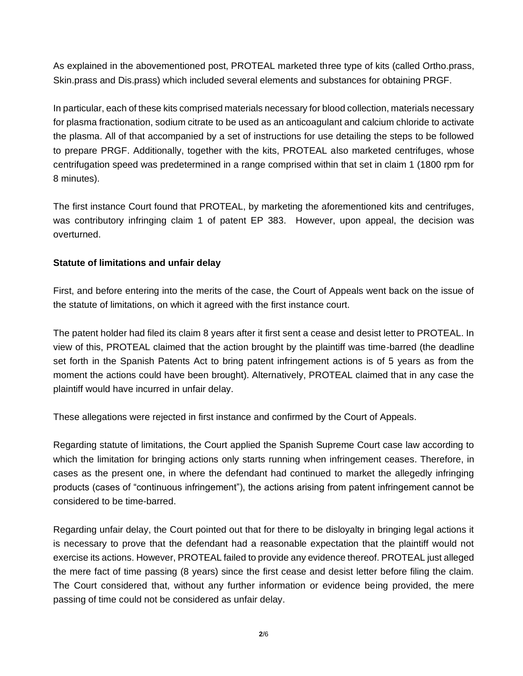As explained in the abovementioned post, PROTEAL marketed three type of kits (called Ortho.prass, Skin.prass and Dis.prass) which included several elements and substances for obtaining PRGF.

In particular, each of these kits comprised materials necessary for blood collection, materials necessary for plasma fractionation, sodium citrate to be used as an anticoagulant and calcium chloride to activate the plasma. All of that accompanied by a set of instructions for use detailing the steps to be followed to prepare PRGF. Additionally, together with the kits, PROTEAL also marketed centrifuges, whose centrifugation speed was predetermined in a range comprised within that set in claim 1 (1800 rpm for 8 minutes).

The first instance Court found that PROTEAL, by marketing the aforementioned kits and centrifuges, was contributory infringing claim 1 of patent EP 383. However, upon appeal, the decision was overturned.

# **Statute of limitations and unfair delay**

First, and before entering into the merits of the case, the Court of Appeals went back on the issue of the statute of limitations, on which it agreed with the first instance court.

The patent holder had filed its claim 8 years after it first sent a cease and desist letter to PROTEAL. In view of this, PROTEAL claimed that the action brought by the plaintiff was time-barred (the deadline set forth in the Spanish Patents Act to bring patent infringement actions is of 5 years as from the moment the actions could have been brought). Alternatively, PROTEAL claimed that in any case the plaintiff would have incurred in unfair delay.

These allegations were rejected in first instance and confirmed by the Court of Appeals.

Regarding statute of limitations, the Court applied the Spanish Supreme Court case law according to which the limitation for bringing actions only starts running when infringement ceases. Therefore, in cases as the present one, in where the defendant had continued to market the allegedly infringing products (cases of "continuous infringement"), the actions arising from patent infringement cannot be considered to be time-barred.

Regarding unfair delay, the Court pointed out that for there to be disloyalty in bringing legal actions it is necessary to prove that the defendant had a reasonable expectation that the plaintiff would not exercise its actions. However, PROTEAL failed to provide any evidence thereof. PROTEAL just alleged the mere fact of time passing (8 years) since the first cease and desist letter before filing the claim. The Court considered that, without any further information or evidence being provided, the mere passing of time could not be considered as unfair delay.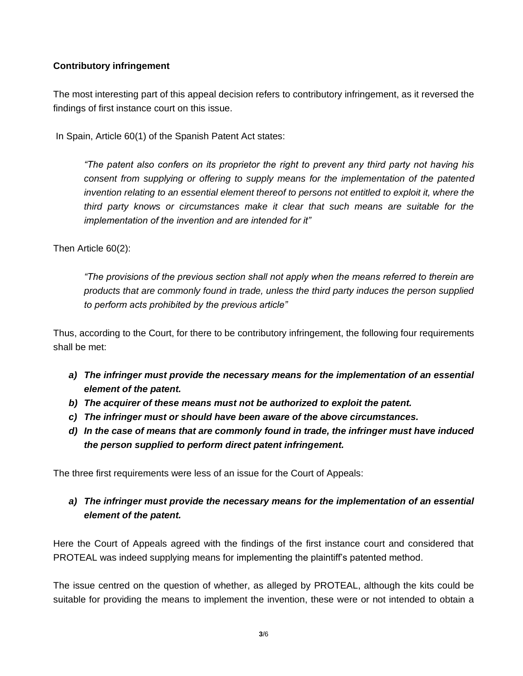# **Contributory infringement**

The most interesting part of this appeal decision refers to contributory infringement, as it reversed the findings of first instance court on this issue.

In Spain, Article 60(1) of the Spanish Patent Act states:

*"The patent also confers on its proprietor the right to prevent any third party not having his consent from supplying or offering to supply means for the implementation of the patented invention relating to an essential element thereof to persons not entitled to exploit it, where the third party knows or circumstances make it clear that such means are suitable for the implementation of the invention and are intended for it"*

Then Article 60(2):

*"The provisions of the previous section shall not apply when the means referred to therein are products that are commonly found in trade, unless the third party induces the person supplied to perform acts prohibited by the previous article"*

Thus, according to the Court, for there to be contributory infringement, the following four requirements shall be met:

- *a) The infringer must provide the necessary means for the implementation of an essential element of the patent.*
- *b) The acquirer of these means must not be authorized to exploit the patent.*
- *c) The infringer must or should have been aware of the above circumstances.*
- *d) In the case of means that are commonly found in trade, the infringer must have induced the person supplied to perform direct patent infringement.*

The three first requirements were less of an issue for the Court of Appeals:

# *a) The infringer must provide the necessary means for the implementation of an essential element of the patent.*

Here the Court of Appeals agreed with the findings of the first instance court and considered that PROTEAL was indeed supplying means for implementing the plaintiff's patented method.

The issue centred on the question of whether, as alleged by PROTEAL, although the kits could be suitable for providing the means to implement the invention, these were or not intended to obtain a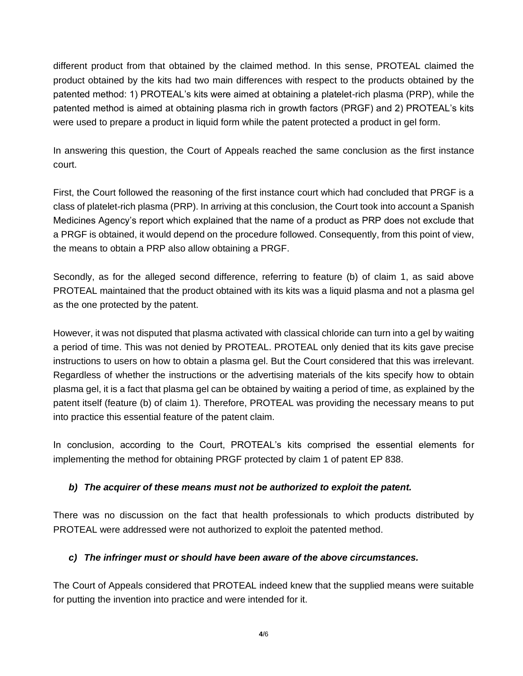different product from that obtained by the claimed method. In this sense, PROTEAL claimed the product obtained by the kits had two main differences with respect to the products obtained by the patented method: 1) PROTEAL's kits were aimed at obtaining a platelet-rich plasma (PRP), while the patented method is aimed at obtaining plasma rich in growth factors (PRGF) and 2) PROTEAL's kits were used to prepare a product in liquid form while the patent protected a product in gel form.

In answering this question, the Court of Appeals reached the same conclusion as the first instance court.

First, the Court followed the reasoning of the first instance court which had concluded that PRGF is a class of platelet-rich plasma (PRP). In arriving at this conclusion, the Court took into account a Spanish Medicines Agency's report which explained that the name of a product as PRP does not exclude that a PRGF is obtained, it would depend on the procedure followed. Consequently, from this point of view, the means to obtain a PRP also allow obtaining a PRGF.

Secondly, as for the alleged second difference, referring to feature (b) of claim 1, as said above PROTEAL maintained that the product obtained with its kits was a liquid plasma and not a plasma gel as the one protected by the patent.

However, it was not disputed that plasma activated with classical chloride can turn into a gel by waiting a period of time. This was not denied by PROTEAL. PROTEAL only denied that its kits gave precise instructions to users on how to obtain a plasma gel. But the Court considered that this was irrelevant. Regardless of whether the instructions or the advertising materials of the kits specify how to obtain plasma gel, it is a fact that plasma gel can be obtained by waiting a period of time, as explained by the patent itself (feature (b) of claim 1). Therefore, PROTEAL was providing the necessary means to put into practice this essential feature of the patent claim.

In conclusion, according to the Court, PROTEAL's kits comprised the essential elements for implementing the method for obtaining PRGF protected by claim 1 of patent EP 838.

#### *b) The acquirer of these means must not be authorized to exploit the patent.*

There was no discussion on the fact that health professionals to which products distributed by PROTEAL were addressed were not authorized to exploit the patented method.

#### *c) The infringer must or should have been aware of the above circumstances.*

The Court of Appeals considered that PROTEAL indeed knew that the supplied means were suitable for putting the invention into practice and were intended for it.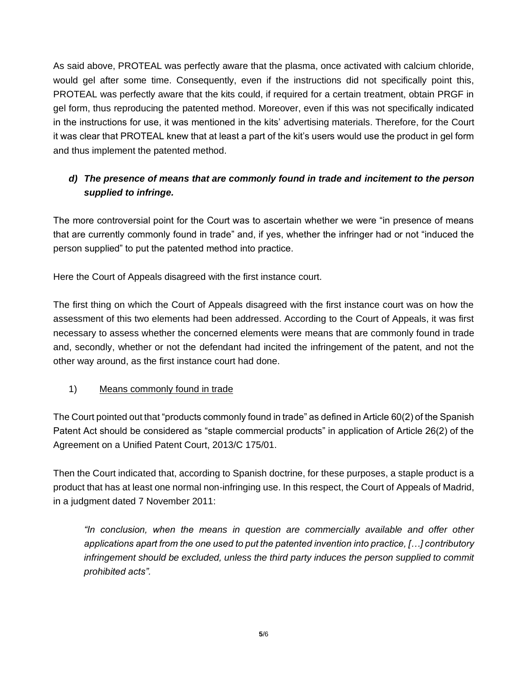As said above, PROTEAL was perfectly aware that the plasma, once activated with calcium chloride, would gel after some time. Consequently, even if the instructions did not specifically point this, PROTEAL was perfectly aware that the kits could, if required for a certain treatment, obtain PRGF in gel form, thus reproducing the patented method. Moreover, even if this was not specifically indicated in the instructions for use, it was mentioned in the kits' advertising materials. Therefore, for the Court it was clear that PROTEAL knew that at least a part of the kit's users would use the product in gel form and thus implement the patented method.

# *d) The presence of means that are commonly found in trade and incitement to the person supplied to infringe.*

The more controversial point for the Court was to ascertain whether we were "in presence of means that are currently commonly found in trade" and, if yes, whether the infringer had or not "induced the person supplied" to put the patented method into practice.

Here the Court of Appeals disagreed with the first instance court.

The first thing on which the Court of Appeals disagreed with the first instance court was on how the assessment of this two elements had been addressed. According to the Court of Appeals, it was first necessary to assess whether the concerned elements were means that are commonly found in trade and, secondly, whether or not the defendant had incited the infringement of the patent, and not the other way around, as the first instance court had done.

# 1) Means commonly found in trade

The Court pointed out that "products commonly found in trade" as defined in Article 60(2) of the Spanish Patent Act should be considered as "staple commercial products" in application of Article 26(2) of the Agreement on a Unified Patent Court, 2013/C 175/01.

Then the Court indicated that, according to Spanish doctrine, for these purposes, a staple product is a product that has at least one normal non-infringing use. In this respect, the Court of Appeals of Madrid, in a judgment dated 7 November 2011:

*"In conclusion, when the means in question are commercially available and offer other applications apart from the one used to put the patented invention into practice, […] contributory infringement should be excluded, unless the third party induces the person supplied to commit prohibited acts".*